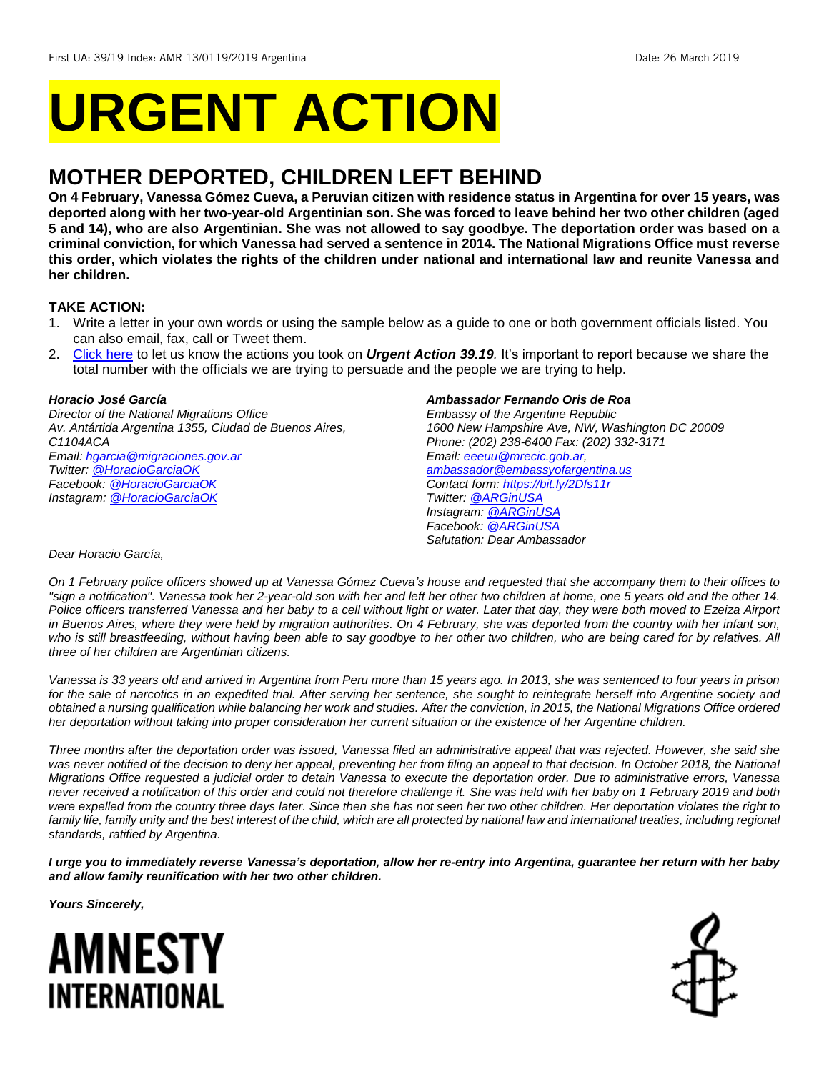# **URGENT ACTION**

## **MOTHER DEPORTED, CHILDREN LEFT BEHIND**

**On 4 February, Vanessa Gómez Cueva, a Peruvian citizen with residence status in Argentina for over 15 years, was deported along with her two-year-old Argentinian son. She was forced to leave behind her two other children (aged 5 and 14), who are also Argentinian. She was not allowed to say goodbye. The deportation order was based on a criminal conviction, for which Vanessa had served a sentence in 2014. The National Migrations Office must reverse this order, which violates the rights of the children under national and international law and reunite Vanessa and her children.**

#### **TAKE ACTION:**

- 1. Write a letter in your own words or using the sample below as a guide to one or both government officials listed. You can also email, fax, call or Tweet them.
- 2. [Click here](https://www.amnestyusa.org/report-urgent-actions/) to let us know the actions you took on *Urgent Action 39.19.* It's important to report because we share the total number with the officials we are trying to persuade and the people we are trying to help.

#### *Horacio José García*

*Director of the National Migrations Office Av. Antártida Argentina 1355, Ciudad de Buenos Aires, C1104ACA Email[: hgarcia@migraciones.gov.ar](mailto:hgarcia@migraciones.gov.ar) Twitter: [@HoracioGarciaOK](https://twitter.com/horaciogarciaok?lang=en) Facebook[: @HoracioGarciaOK](https://www.facebook.com/HoracioGarciaOk/) Instagram: [@HoracioGarciaOK](https://www.instagram.com/horaciogarciaok/?hl=en)*

#### *Ambassador Fernando Oris de Roa*

*Embassy of the Argentine Republic 1600 New Hampshire Ave, NW, Washington DC 20009 Phone: (202) 238-6400 Fax: (202) 332-3171 Email[: eeeuu@mrecic.gob.ar,](mailto:eeeuu@mrecic.gob.ar) [ambassador@embassyofargentina.us](mailto:ambassador@embassyofargentina.us) Contact form[: https://bit.ly/2Dfs11r](https://bit.ly/2Dfs11r) Twitter: [@ARGinUSA](https://twitter.com/arginusa?lang=en) Instagram: [@ARGinUSA](https://www.instagram.com/arginusa/?hl=en) Facebook[: @ARGinUSA](https://www.facebook.com/ARGinUSA/photos) Salutation: Dear Ambassador*

#### *Dear Horacio García,*

*On 1 February police officers showed up at Vanessa Gómez Cueva's house and requested that she accompany them to their offices to "sign a notification". Vanessa took her 2-year-old son with her and left her other two children at home, one 5 years old and the other 14. Police officers transferred Vanessa and her baby to a cell without light or water. Later that day, they were both moved to Ezeiza Airport in Buenos Aires, where they were held by migration authorities. On 4 February, she was deported from the country with her infant son, who is still breastfeeding, without having been able to say goodbye to her other two children, who are being cared for by relatives. All three of her children are Argentinian citizens.*

*Vanessa is 33 years old and arrived in Argentina from Peru more than 15 years ago. In 2013, she was sentenced to four years in prison for the sale of narcotics in an expedited trial. After serving her sentence, she sought to reintegrate herself into Argentine society and obtained a nursing qualification while balancing her work and studies. After the conviction, in 2015, the National Migrations Office ordered her deportation without taking into proper consideration her current situation or the existence of her Argentine children.*

*Three months after the deportation order was issued, Vanessa filed an administrative appeal that was rejected. However, she said she*  was never notified of the decision to deny her appeal, preventing her from filing an appeal to that decision. In October 2018, the National *Migrations Office requested a judicial order to detain Vanessa to execute the deportation order. Due to administrative errors, Vanessa never received a notification of this order and could not therefore challenge it. She was held with her baby on 1 February 2019 and both were expelled from the country three days later. Since then she has not seen her two other children. Her deportation violates the right to family life, family unity and the best interest of the child, which are all protected by national law and international treaties, including regional standards, ratified by Argentina.*

*I urge you to immediately reverse Vanessa's deportation, allow her re-entry into Argentina, guarantee her return with her baby and allow family reunification with her two other children.*

*Yours Sincerely,*